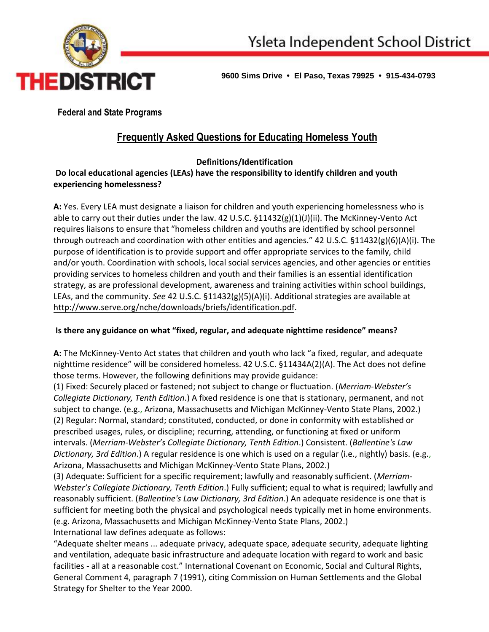

**9600 Sims Drive • El Paso, Texas 79925 • 915-434-0793**

**Federal and State Programs** 

# **Frequently Asked Questions for Educating Homeless Youth**

# **Definitions/Identification**

**Do local educational agencies (LEAs) have the responsibility to identify children and youth experiencing homelessness?** 

**A:** Yes. Every LEA must designate a liaison for children and youth experiencing homelessness who is able to carry out their duties under the law. 42 U.S.C. §11432(g)(1)(J)(ii). The McKinney-Vento Act requires liaisons to ensure that "homeless children and youths are identified by school personnel through outreach and coordination with other entities and agencies." 42 U.S.C. §11432(g)(6)(A)(i). The purpose of identification is to provide support and offer appropriate services to the family, child and/or youth. Coordination with schools, local social services agencies, and other agencies or entities providing services to homeless children and youth and their families is an essential identification strategy, as are professional development, awareness and training activities within school buildings, LEAs, and the community. *See* 42 U.S.C. §11432(g)(5)(A)(i). Additional strategies are available at [http://www.serve.org/nche/downloads/briefs/identification.pdf.](http://www.serve.org/nche/downloads/briefs/identification.pdf)

# **Is there any guidance on what "fixed, regular, and adequate nighttime residence" means?**

**A:** The McKinney-Vento Act states that children and youth who lack "a fixed, regular, and adequate nighttime residence" will be considered homeless. 42 U.S.C. §11434A(2)(A). The Act does not define those terms. However, the following definitions may provide guidance:

(1) Fixed: Securely placed or fastened; not subject to change or fluctuation. (*Merriam-Webster's Collegiate Dictionary, Tenth Edition*.) A fixed residence is one that is stationary, permanent, and not subject to change. (e.g., Arizona, Massachusetts and Michigan McKinney-Vento State Plans, 2002.) (2) Regular: Normal, standard; constituted, conducted, or done in conformity with established or prescribed usages, rules, or discipline; recurring, attending, or functioning at fixed or uniform intervals. (*Merriam-Webster's Collegiate Dictionary, Tenth Edition*.) Consistent. (*Ballentine's Law Dictionary, 3rd Edition*.) A regular residence is one which is used on a regular (i.e., nightly) basis. (e.g., Arizona, Massachusetts and Michigan McKinney-Vento State Plans, 2002.)

(3) Adequate: Sufficient for a specific requirement; lawfully and reasonably sufficient. (*Merriam-Webster's Collegiate Dictionary, Tenth Edition*.) Fully sufficient; equal to what is required; lawfully and reasonably sufficient. (*Ballentine's Law Dictionary, 3rd Edition*.) An adequate residence is one that is sufficient for meeting both the physical and psychological needs typically met in home environments. (e.g. Arizona, Massachusetts and Michigan McKinney-Vento State Plans, 2002.) International law defines adequate as follows:

"Adequate shelter means ... adequate privacy, adequate space, adequate security, adequate lighting and ventilation, adequate basic infrastructure and adequate location with regard to work and basic facilities - all at a reasonable cost." International Covenant on Economic, Social and Cultural Rights, General Comment 4, paragraph 7 (1991), citing Commission on Human Settlements and the Global Strategy for Shelter to the Year 2000.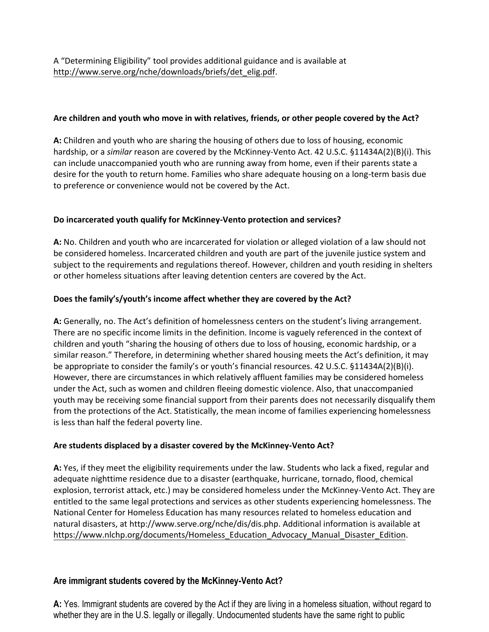#### **Are children and youth who move in with relatives, friends, or other people covered by the Act?**

**A:** Children and youth who are sharing the housing of others due to loss of housing, economic hardship, or a *similar* reason are covered by the McKinney-Vento Act. 42 U.S.C. §11434A(2)(B)(i). This can include unaccompanied youth who are running away from home, even if their parents state a desire for the youth to return home. Families who share adequate housing on a long-term basis due to preference or convenience would not be covered by the Act.

#### **Do incarcerated youth qualify for McKinney-Vento protection and services?**

**A:** No. Children and youth who are incarcerated for violation or alleged violation of a law should not be considered homeless. Incarcerated children and youth are part of the juvenile justice system and subject to the requirements and regulations thereof. However, children and youth residing in shelters or other homeless situations after leaving detention centers are covered by the Act.

#### **Does the family's/youth's income affect whether they are covered by the Act?**

**A:** Generally, no. The Act's definition of homelessness centers on the student's living arrangement. There are no specific income limits in the definition. Income is vaguely referenced in the context of children and youth "sharing the housing of others due to loss of housing, economic hardship, or a similar reason." Therefore, in determining whether shared housing meets the Act's definition, it may be appropriate to consider the family's or youth's financial resources. 42 U.S.C. §11434A(2)(B)(i). However, there are circumstances in which relatively affluent families may be considered homeless under the Act, such as women and children fleeing domestic violence. Also, that unaccompanied youth may be receiving some financial support from their parents does not necessarily disqualify them from the protections of the Act. Statistically, the mean income of families experiencing homelessness is less than half the federal poverty line.

## **Are students displaced by a disaster covered by the McKinney-Vento Act?**

**A:** Yes, if they meet the eligibility requirements under the law. Students who lack a fixed, regular and adequate nighttime residence due to a disaster (earthquake, hurricane, tornado, flood, chemical explosion, terrorist attack, etc.) may be considered homeless under the McKinney-Vento Act. They are entitled to the same legal protections and services as other students experiencing homelessness. The National Center for Homeless Education has many resources related to homeless education and natural disasters, at http://www.serve.org/nche/dis/dis.php. Additional information is available at [https://www.nlchp.org/documents/Homeless\\_Education\\_Advocacy\\_Manual\\_Disaster\\_Edition.](https://www.nlchp.org/documents/Homeless_Education_Advocacy_Manual_Disaster_Edition)

## **Are immigrant students covered by the McKinney-Vento Act?**

**A:** Yes. Immigrant students are covered by the Act if they are living in a homeless situation, without regard to whether they are in the U.S. legally or illegally. Undocumented students have the same right to public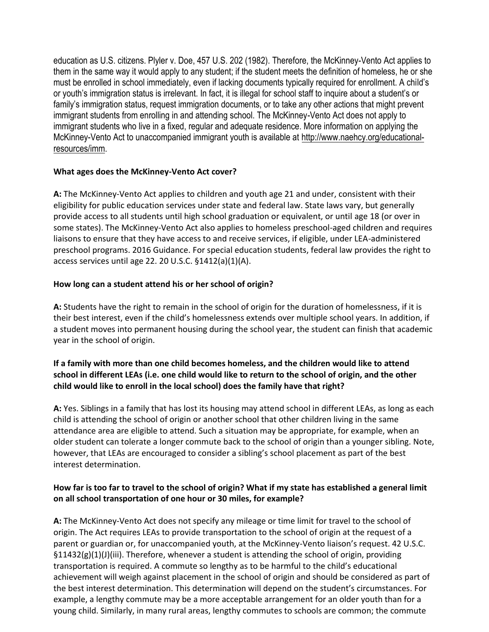education as U.S. citizens. Plyler v. Doe, 457 U.S. 202 (1982). Therefore, the McKinney-Vento Act applies to them in the same way it would apply to any student; if the student meets the definition of homeless, he or she must be enrolled in school immediately, even if lacking documents typically required for enrollment. A child's or youth's immigration status is irrelevant. In fact, it is illegal for school staff to inquire about a student's or family's immigration status, request immigration documents, or to take any other actions that might prevent immigrant students from enrolling in and attending school. The McKinney-Vento Act does not apply to immigrant students who live in a fixed, regular and adequate residence. More information on applying the McKinney-Vento Act to unaccompanied immigrant youth is available at [http://www.naehcy.org/educational](http://www.naehcy.org/educational-resources/imm)[resources/imm.](http://www.naehcy.org/educational-resources/imm)

#### **What ages does the McKinney-Vento Act cover?**

**A:** The McKinney-Vento Act applies to children and youth age 21 and under, consistent with their eligibility for public education services under state and federal law. State laws vary, but generally provide access to all students until high school graduation or equivalent, or until age 18 (or over in some states). The McKinney-Vento Act also applies to homeless preschool-aged children and requires liaisons to ensure that they have access to and receive services, if eligible, under LEA-administered preschool programs. 2016 Guidance. For special education students, federal law provides the right to access services until age 22. 20 U.S.C. §1412(a)(1)(A).

#### **How long can a student attend his or her school of origin?**

**A:** Students have the right to remain in the school of origin for the duration of homelessness, if it is their best interest, even if the child's homelessness extends over multiple school years. In addition, if a student moves into permanent housing during the school year, the student can finish that academic year in the school of origin.

# **If a family with more than one child becomes homeless, and the children would like to attend school in different LEAs (i.e. one child would like to return to the school of origin, and the other child would like to enroll in the local school) does the family have that right?**

**A:** Yes. Siblings in a family that has lost its housing may attend school in different LEAs, as long as each child is attending the school of origin or another school that other children living in the same attendance area are eligible to attend. Such a situation may be appropriate, for example, when an older student can tolerate a longer commute back to the school of origin than a younger sibling. Note, however, that LEAs are encouraged to consider a sibling's school placement as part of the best interest determination.

## **How far is too far to travel to the school of origin? What if my state has established a general limit on all school transportation of one hour or 30 miles, for example?**

**A:** The McKinney-Vento Act does not specify any mileage or time limit for travel to the school of origin. The Act requires LEAs to provide transportation to the school of origin at the request of a parent or guardian or, for unaccompanied youth, at the McKinney-Vento liaison's request. 42 U.S.C. §11432(g)(1)(J)(iii). Therefore, whenever a student is attending the school of origin, providing transportation is required. A commute so lengthy as to be harmful to the child's educational achievement will weigh against placement in the school of origin and should be considered as part of the best interest determination. This determination will depend on the student's circumstances. For example, a lengthy commute may be a more acceptable arrangement for an older youth than for a young child. Similarly, in many rural areas, lengthy commutes to schools are common; the commute